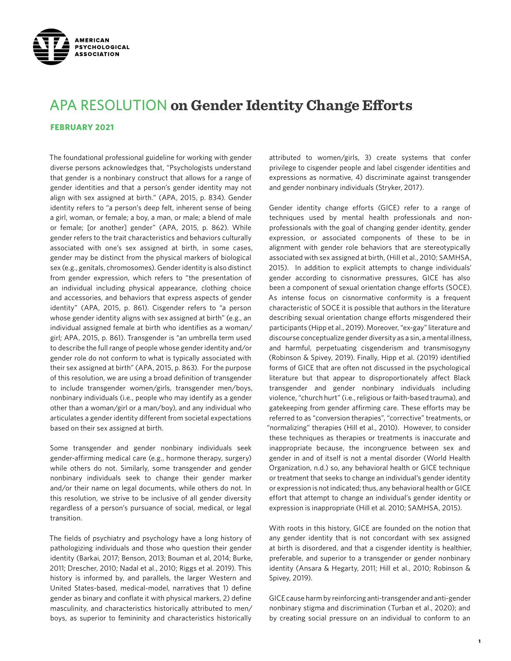

# APA RESOLUTION **on Gender Identity Change Efforts**

#### **FEBRUARY 2021**

The foundational professional guideline for working with gender diverse persons acknowledges that, "Psychologists understand that gender is a nonbinary construct that allows for a range of gender identities and that a person's gender identity may not align with sex assigned at birth." (APA, 2015, p. 834). Gender identity refers to "a person's deep felt, inherent sense of being a girl, woman, or female; a boy, a man, or male; a blend of male or female; [or another] gender" (APA, 2015, p. 862). While gender refers to the trait characteristics and behaviors culturally associated with one's sex assigned at birth, in some cases, gender may be distinct from the physical markers of biological sex (e.g., genitals, chromosomes). Gender identity is also distinct from gender expression, which refers to "the presentation of an individual including physical appearance, clothing choice and accessories, and behaviors that express aspects of gender identity" (APA, 2015, p. 861). Cisgender refers to "a person whose gender identity aligns with sex assigned at birth" (e.g., an individual assigned female at birth who identifies as a woman/ girl; APA, 2015, p. 861). Transgender is "an umbrella term used to describe the full range of people whose gender identity and/or gender role do not conform to what is typically associated with their sex assigned at birth" (APA, 2015, p. 863). For the purpose of this resolution, we are using a broad definition of transgender to include transgender women/girls, transgender men/boys, nonbinary individuals (i.e., people who may identify as a gender other than a woman/girl or a man/boy), and any individual who articulates a gender identity different from societal expectations based on their sex assigned at birth.

Some transgender and gender nonbinary individuals seek gender-affirming medical care (e.g., hormone therapy, surgery) while others do not. Similarly, some transgender and gender nonbinary individuals seek to change their gender marker and/or their name on legal documents, while others do not. In this resolution, we strive to be inclusive of all gender diversity regardless of a person's pursuance of social, medical, or legal transition.

The fields of psychiatry and psychology have a long history of pathologizing individuals and those who question their gender identity (Barkai, 2017; Benson, 2013; Bouman et al, 2014; Burke, 2011; Drescher, 2010; Nadal et al., 2010; Riggs et al. 2019). This history is informed by, and parallels, the larger Western and United States-based, medical-model, narratives that 1) define gender as binary and conflate it with physical markers, 2) define masculinity, and characteristics historically attributed to men/ boys, as superior to femininity and characteristics historically

attributed to women/girls, 3) create systems that confer privilege to cisgender people and label cisgender identities and expressions as normative, 4) discriminate against transgender and gender nonbinary individuals (Stryker, 2017).

Gender identity change efforts (GICE) refer to a range of techniques used by mental health professionals and nonprofessionals with the goal of changing gender identity, gender expression, or associated components of these to be in alignment with gender role behaviors that are stereotypically associated with sex assigned at birth, (Hill et al., 2010; SAMHSA, 2015). In addition to explicit attempts to change individuals' gender according to cisnormative pressures, GICE has also been a component of sexual orientation change efforts (SOCE). As intense focus on cisnormative conformity is a frequent characteristic of SOCE it is possible that authors in the literature describing sexual orientation change efforts misgendered their participants (Hipp et al., 2019). Moreover, "ex-gay" literature and discourse conceptualize gender diversity as a sin, a mental illness, and harmful, perpetuating cisgenderism and transmisogyny (Robinson & Spivey, 2019). Finally, Hipp et al. (2019) identified forms of GICE that are often not discussed in the psychological literature but that appear to disproportionately affect Black transgender and gender nonbinary individuals including violence, "church hurt" (i.e., religious or faith-based trauma), and gatekeeping from gender affirming care. These efforts may be referred to as "conversion therapies", "corrective" treatments, or "normalizing" therapies (Hill et al., 2010). However, to consider these techniques as therapies or treatments is inaccurate and inappropriate because, the incongruence between sex and gender in and of itself is not a mental disorder (World Health Organization, n.d.) so, any behavioral health or GICE technique or treatment that seeks to change an individual's gender identity or expression is not indicated; thus, any behavioral health or GICE effort that attempt to change an individual's gender identity or expression is inappropriate (Hill et al. 2010; SAMHSA, 2015).

With roots in this history, GICE are founded on the notion that any gender identity that is not concordant with sex assigned at birth is disordered, and that a cisgender identity is healthier, preferable, and superior to a transgender or gender nonbinary identity (Ansara & Hegarty, 2011; Hill et al., 2010; Robinson & Spivey, 2019).

GICE cause harm by reinforcing anti-transgender and anti-gender nonbinary stigma and discrimination (Turban et al., 2020); and by creating social pressure on an individual to conform to an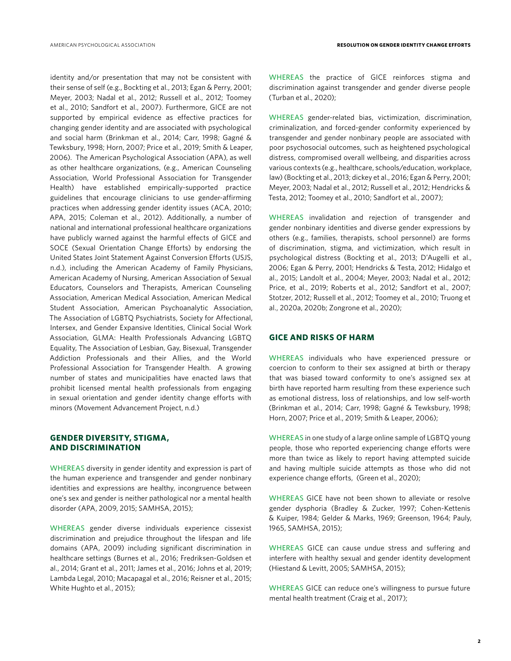identity and/or presentation that may not be consistent with their sense of self (e.g., Bockting et al., 2013; Egan & Perry, 2001; Meyer, 2003; Nadal et al., 2012; Russell et al., 2012; Toomey et al., 2010; Sandfort et al., 2007). Furthermore, GICE are not supported by empirical evidence as effective practices for changing gender identity and are associated with psychological and social harm (Brinkman et al., 2014; Carr, 1998; Gagné & Tewksbury, 1998; Horn, 2007; Price et al., 2019; Smith & Leaper, 2006). The American Psychological Association (APA), as well as other healthcare organizations, (e.g., American Counseling Association, World Professional Association for Transgender Health) have established empirically-supported practice guidelines that encourage clinicians to use gender-affirming practices when addressing gender identity issues (ACA, 2010; APA, 2015; Coleman et al., 2012). Additionally, a number of national and international professional healthcare organizations have publicly warned against the harmful effects of GICE and SOCE (Sexual Orientation Change Efforts) by endorsing the United States Joint Statement Against Conversion Efforts (USJS, n.d.), including the American Academy of Family Physicians, American Academy of Nursing, American Association of Sexual Educators, Counselors and Therapists, American Counseling Association, American Medical Association, American Medical Student Association, American Psychoanalytic Association, The Association of LGBTQ Psychiatrists, Society for Affectional, Intersex, and Gender Expansive Identities, Clinical Social Work Association, GLMA: Health Professionals Advancing LGBTQ Equality, The Association of Lesbian, Gay, Bisexual, Transgender Addiction Professionals and their Allies, and the World Professional Association for Transgender Health. A growing number of states and municipalities have enacted laws that prohibit licensed mental health professionals from engaging in sexual orientation and gender identity change efforts with minors (Movement Advancement Project, n.d.)

## **GENDER DIVERSITY, STIGMA, AND DISCRIMINATION**

WHEREAS diversity in gender identity and expression is part of the human experience and transgender and gender nonbinary identities and expressions are healthy, incongruence between one's sex and gender is neither pathological nor a mental health disorder (APA, 2009, 2015; SAMHSA, 2015);

WHEREAS gender diverse individuals experience cissexist discrimination and prejudice throughout the lifespan and life domains (APA, 2009) including significant discrimination in healthcare settings (Burnes et al., 2016; Fredriksen-Goldsen et al., 2014; Grant et al., 2011; James et al., 2016; Johns et al, 2019; Lambda Legal, 2010; Macapagal et al., 2016; Reisner et al., 2015; White Hughto et al., 2015);

WHEREAS the practice of GICE reinforces stigma and discrimination against transgender and gender diverse people (Turban et al., 2020);

WHEREAS gender-related bias, victimization, discrimination, criminalization, and forced-gender conformity experienced by transgender and gender nonbinary people are associated with poor psychosocial outcomes, such as heightened psychological distress, compromised overall wellbeing, and disparities across various contexts (e.g., healthcare, schools/education, workplace, law) (Bockting et al., 2013; dickey et al., 2016; Egan & Perry, 2001; Meyer, 2003; Nadal et al., 2012; Russell et al., 2012; Hendricks & Testa, 2012; Toomey et al., 2010; Sandfort et al., 2007);

WHEREAS invalidation and rejection of transgender and gender nonbinary identities and diverse gender expressions by others (e.g., families, therapists, school personnel) are forms of discrimination, stigma, and victimization, which result in psychological distress (Bockting et al., 2013; D'Augelli et al., 2006; Egan & Perry, 2001; Hendricks & Testa, 2012; Hidalgo et al., 2015; Landolt et al., 2004; Meyer, 2003; Nadal et al., 2012; Price, et al., 2019; Roberts et al., 2012; Sandfort et al., 2007; Stotzer, 2012; Russell et al., 2012; Toomey et al., 2010; Truong et al., 2020a, 2020b; Zongrone et al., 2020);

#### **GICE AND RISKS OF HARM**

WHEREAS individuals who have experienced pressure or coercion to conform to their sex assigned at birth or therapy that was biased toward conformity to one's assigned sex at birth have reported harm resulting from these experience such as emotional distress, loss of relationships, and low self-worth (Brinkman et al., 2014; Carr, 1998; Gagné & Tewksbury, 1998; Horn, 2007; Price et al., 2019; Smith & Leaper, 2006);

WHEREAS in one study of a large online sample of LGBTQ young people, those who reported experiencing change efforts were more than twice as likely to report having attempted suicide and having multiple suicide attempts as those who did not experience change efforts, (Green et al., 2020);

WHEREAS GICE have not been shown to alleviate or resolve gender dysphoria (Bradley & Zucker, 1997; Cohen-Kettenis & Kuiper, 1984; Gelder & Marks, 1969; Greenson, 1964; Pauly, 1965, SAMHSA, 2015);

WHEREAS GICE can cause undue stress and suffering and interfere with healthy sexual and gender identity development (Hiestand & Levitt, 2005; SAMHSA, 2015);

WHEREAS GICE can reduce one's willingness to pursue future mental health treatment (Craig et al., 2017);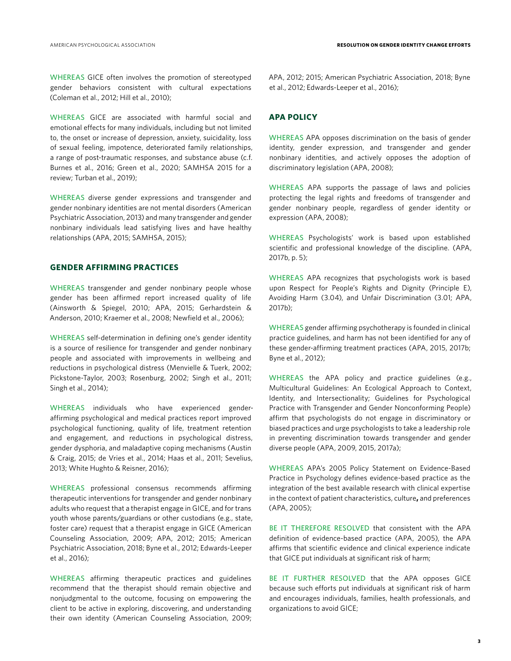WHEREAS GICE often involves the promotion of stereotyped gender behaviors consistent with cultural expectations (Coleman et al., 2012; Hill et al., 2010);

WHEREAS GICE are associated with harmful social and emotional effects for many individuals, including but not limited to, the onset or increase of depression, anxiety, suicidality, loss of sexual feeling, impotence, deteriorated family relationships, a range of post-traumatic responses, and substance abuse (c.f. Burnes et al., 2016; Green et al., 2020; SAMHSA 2015 for a review; Turban et al., 2019);

WHEREAS diverse gender expressions and transgender and gender nonbinary identities are not mental disorders (American Psychiatric Association, 2013) and many transgender and gender nonbinary individuals lead satisfying lives and have healthy relationships (APA, 2015; SAMHSA, 2015);

# **GENDER AFFIRMING PRACTICES**

WHEREAS transgender and gender nonbinary people whose gender has been affirmed report increased quality of life (Ainsworth & Spiegel, 2010; APA, 2015; Gerhardstein & Anderson, 2010; Kraemer et al., 2008; Newfield et al., 2006);

WHEREAS self-determination in defining one's gender identity is a source of resilience for transgender and gender nonbinary people and associated with improvements in wellbeing and reductions in psychological distress (Menvielle & Tuerk, 2002; Pickstone-Taylor, 2003; Rosenburg, 2002; Singh et al., 2011; Singh et al., 2014);

WHEREAS individuals who have experienced genderaffirming psychological and medical practices report improved psychological functioning, quality of life, treatment retention and engagement, and reductions in psychological distress, gender dysphoria, and maladaptive coping mechanisms (Austin & Craig, 2015; de Vries et al., 2014; Haas et al., 2011; Sevelius, 2013; White Hughto & Reisner, 2016);

WHEREAS professional consensus recommends affirming therapeutic interventions for transgender and gender nonbinary adults who request that a therapist engage in GICE, and for trans youth whose parents/guardians or other custodians (e.g., state, foster care) request that a therapist engage in GICE (American Counseling Association, 2009; APA, 2012; 2015; American Psychiatric Association, 2018; Byne et al., 2012; Edwards-Leeper et al., 2016);

WHEREAS affirming therapeutic practices and guidelines recommend that the therapist should remain objective and nonjudgmental to the outcome, focusing on empowering the client to be active in exploring, discovering, and understanding their own identity (American Counseling Association, 2009;

APA, 2012; 2015; American Psychiatric Association, 2018; Byne et al., 2012; Edwards-Leeper et al., 2016);

#### **APA POLICY**

WHEREAS APA opposes discrimination on the basis of gender identity, gender expression, and transgender and gender nonbinary identities, and actively opposes the adoption of discriminatory legislation (APA, 2008);

WHEREAS APA supports the passage of laws and policies protecting the legal rights and freedoms of transgender and gender nonbinary people, regardless of gender identity or expression (APA, 2008);

WHEREAS Psychologists' work is based upon established scientific and professional knowledge of the discipline. (APA, 2017b, p. 5);

WHEREAS APA recognizes that psychologists work is based upon Respect for People's Rights and Dignity (Principle E), Avoiding Harm (3.04), and Unfair Discrimination (3.01; APA, 2017b);

WHEREAS gender affirming psychotherapy is founded in clinical practice guidelines, and harm has not been identified for any of these gender-affirming treatment practices (APA, 2015, 2017b; Byne et al., 2012);

WHEREAS the APA policy and practice guidelines (e.g., Multicultural Guidelines: An Ecological Approach to Context, Identity, and Intersectionality; Guidelines for Psychological Practice with Transgender and Gender Nonconforming People) affirm that psychologists do not engage in discriminatory or biased practices and urge psychologists to take a leadership role in preventing discrimination towards transgender and gender diverse people (APA, 2009, 2015, 2017a);

WHEREAS APA's 2005 Policy Statement on Evidence-Based Practice in Psychology defines evidence-based practice as the integration of the best available research with clinical expertise in the context of patient characteristics, culture**,** and preferences (APA, 2005);

BE IT THEREFORE RESOLVED that consistent with the APA definition of evidence-based practice (APA, 2005), the APA affirms that scientific evidence and clinical experience indicate that GICE put individuals at significant risk of harm;

BE IT FURTHER RESOLVED that the APA opposes GICE because such efforts put individuals at significant risk of harm and encourages individuals, families, health professionals, and organizations to avoid GICE;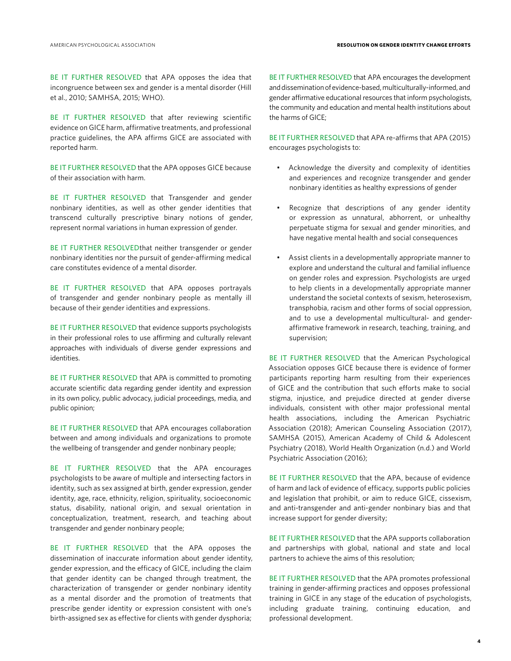BE IT FURTHER RESOLVED that APA opposes the idea that incongruence between sex and gender is a mental disorder (Hill et al., 2010; SAMHSA, 2015; WHO).

BE IT FURTHER RESOLVED that after reviewing scientific evidence on GICE harm, affirmative treatments, and professional practice guidelines, the APA affirms GICE are associated with reported harm.

BE IT FURTHER RESOLVED that the APA opposes GICE because of their association with harm.

BE IT FURTHER RESOLVED that Transgender and gender nonbinary identities, as well as other gender identities that transcend culturally prescriptive binary notions of gender, represent normal variations in human expression of gender.

BE IT FURTHER RESOLVEDthat neither transgender or gender nonbinary identities nor the pursuit of gender-affirming medical care constitutes evidence of a mental disorder.

BE IT FURTHER RESOLVED that APA opposes portrayals of transgender and gender nonbinary people as mentally ill because of their gender identities and expressions.

BE IT FURTHER RESOLVED that evidence supports psychologists in their professional roles to use affirming and culturally relevant approaches with individuals of diverse gender expressions and identities.

BE IT FURTHER RESOLVED that APA is committed to promoting accurate scientific data regarding gender identity and expression in its own policy, public advocacy, judicial proceedings, media, and public opinion;

BE IT FURTHER RESOLVED that APA encourages collaboration between and among individuals and organizations to promote the wellbeing of transgender and gender nonbinary people;

BE IT FURTHER RESOLVED that the APA encourages psychologists to be aware of multiple and intersecting factors in identity, such as sex assigned at birth, gender expression, gender identity, age, race, ethnicity, religion, spirituality, socioeconomic status, disability, national origin, and sexual orientation in conceptualization, treatment, research, and teaching about transgender and gender nonbinary people;

BE IT FURTHER RESOLVED that the APA opposes the dissemination of inaccurate information about gender identity, gender expression, and the efficacy of GICE, including the claim that gender identity can be changed through treatment, the characterization of transgender or gender nonbinary identity as a mental disorder and the promotion of treatments that prescribe gender identity or expression consistent with one's birth-assigned sex as effective for clients with gender dysphoria; BE IT FURTHER RESOLVED that APA encourages the development and dissemination of evidence-based, multiculturally-informed, and gender affirmative educational resources that inform psychologists, the community and education and mental health institutions about the harms of GICE;

BE IT FURTHER RESOLVED that APA re-affirms that APA (2015) encourages psychologists to:

- Acknowledge the diversity and complexity of identities and experiences and recognize transgender and gender nonbinary identities as healthy expressions of gender
- Recognize that descriptions of any gender identity or expression as unnatural, abhorrent, or unhealthy perpetuate stigma for sexual and gender minorities, and have negative mental health and social consequences
- Assist clients in a developmentally appropriate manner to explore and understand the cultural and familial influence on gender roles and expression. Psychologists are urged to help clients in a developmentally appropriate manner understand the societal contexts of sexism, heterosexism, transphobia, racism and other forms of social oppression, and to use a developmental multicultural- and genderaffirmative framework in research, teaching, training, and supervision;

BE IT FURTHER RESOLVED that the American Psychological Association opposes GICE because there is evidence of former participants reporting harm resulting from their experiences of GICE and the contribution that such efforts make to social stigma, injustice, and prejudice directed at gender diverse individuals, consistent with other major professional mental health associations, including the American Psychiatric Association (2018); American Counseling Association (2017), SAMHSA (2015), American Academy of Child & Adolescent Psychiatry (2018), World Health Organization (n.d.) and World Psychiatric Association (2016);

BE IT FURTHER RESOLVED that the APA, because of evidence of harm and lack of evidence of efficacy, supports public policies and legislation that prohibit, or aim to reduce GICE, cissexism, and anti-transgender and anti-gender nonbinary bias and that increase support for gender diversity;

BE IT FURTHER RESOLVED that the APA supports collaboration and partnerships with global, national and state and local partners to achieve the aims of this resolution;

BE IT FURTHER RESOLVED that the APA promotes professional training in gender-affirming practices and opposes professional training in GICE in any stage of the education of psychologists, including graduate training, continuing education, and professional development.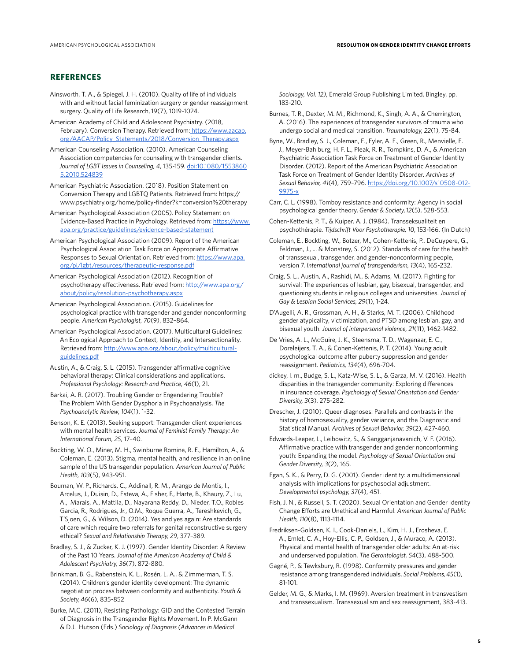## **REFERENCES**

- Ainsworth, T. A., & Spiegel, J. H. (2010). Quality of life of individuals with and without facial feminization surgery or gender reassignment surgery. Quality of Life Research, 19(7), 1019-1024.
- American Academy of Child and Adolescent Psychiatry. (2018, February). Conversion Therapy. Retrieved from: https://www.aacap. org/AACAP/Policy\_Statements/2018/Conversion\_Therapy.aspx
- American Counseling Association. (2010). American Counseling Association competencies for counseling with transgender clients. *Journal of LGBT Issues in Counseling, 4*, 135-159. doi:10.1080/1553860 5.2010.524839
- American Psychiatric Association. (2018). Position Statement on Conversion Therapy and LGBTQ Patients. Retrieved from: https:// www.psychiatry.org/home/policy-finder?k=conversion%20therapy
- American Psychological Association (2005). Policy Statement on Evidence-Based Practice in Psychology. Retrieved from: https://www. apa.org/practice/guidelines/evidence-based-statement
- American Psychological Association (2009). Report of the American Psychological Association Task Force on Appropriate Affirmative Responses to Sexual Orientation. Retrieved from: https://www.apa. org/pi/lgbt/resources/therapeutic-response.pdf
- American Psychological Association (2012). Recognition of psychotherapy effectiveness. Retrieved from: http://www.apa.org/ about/policy/resolution-psychotherapy.aspx
- American Psychological Association. (2015). Guidelines for psychological practice with transgender and gender nonconforming people. *American Psychologist, 70*(9), 832–864.
- American Psychological Association. (2017). Multicultural Guidelines: An Ecological Approach to Context, Identity, and Intersectionality. Retrieved from: http://www.apa.org/about/policy/multiculturalguidelines.pdf
- Austin, A., & Craig, S. L. (2015). Transgender affirmative cognitive behavioral therapy: Clinical considerations and applications. *Professional Psychology: Research and Practice, 46*(1), 21.
- Barkai, A. R. (2017). Troubling Gender or Engendering Trouble? The Problem With Gender Dysphoria in Psychoanalysis. *The Psychoanalytic Review, 104*(1), 1-32.
- Benson, K. E. (2013). Seeking support: Transgender client experiences with mental health services. *Journal of Feminist Family Therapy: An International Forum, 25*, 17–40.
- Bockting, W. O., Miner, M. H., Swinburne Romine, R. E., Hamilton, A., & Coleman, E. (2013). Stigma, mental health, and resilience in an online sample of the US transgender population. *American Journal of Public Health, 103*(5), 943-951.
- Bouman, W. P., Richards, C., Addinall, R. M., Arango de Montis, I., Arcelus, J., Duisin, D., Esteva, A., Fisher, F., Harte, B., Khaury, Z., Lu, A., Marais, A., Mattila, D., Nayarana Reddy, D., Nieder, T.O., Robles Garcia, R., Rodrigues, Jr., O.M., Roque Guerra, A., Tereshkevich, G., T'Sjoen, G., & Wilson, D. (2014). Yes and yes again: Are standards of care which require two referrals for genital reconstructive surgery ethical? *Sexual and Relationship Therapy, 29*, 377–389.
- Bradley, S. J., & Zucker, K. J. (1997). Gender Identity Disorder: A Review of the Past 10 Years. *Journal of the American Academy of Child & Adolescent Psychiatry, 36*(7), 872-880.
- Brinkman, B. G., Rabenstein, K. L., Rosén, L. A., & Zimmerman, T. S. (2014). Children's gender identity development: The dynamic negotiation process between conformity and authenticity. *Youth & Society, 46*(6), 835-852
- Burke, M.C. (2011), Resisting Pathology: GID and the Contested Terrain of Diagnosis in the Transgender Rights Movement. In P. McGann & D.J. Hutson (Eds.) *Sociology of Diagnosis (Advances in Medical*

*Sociology, Vol. 12)*, Emerald Group Publishing Limited, Bingley, pp. 183-210.

- Burnes, T. R., Dexter, M. M., Richmond, K., Singh, A. A., & Cherrington, A. (2016). The experiences of transgender survivors of trauma who undergo social and medical transition. *Traumatology, 22*(1), 75-84.
- Byne, W., Bradley, S. J., Coleman, E., Eyler, A. E., Green, R., Menvielle, E. J., Meyer-Bahlburg, H. F. L., Pleak, R. R., Tompkins, D. A., & American Psychiatric Association Task Force on Treatment of Gender Identity Disorder. (2012). Report of the American Psychiatric Association Task Force on Treatment of Gender Identity Disorder. *Archives of Sexual Behavior, 41*(4), 759–796. https://doi.org/10.1007/s10508-012- 9975-x
- Carr, C. L. (1998). Tomboy resistance and conformity: Agency in social psychological gender theory. *Gender & Society, 12*(5), 528-553.
- Cohen-Kettenis, P. T., & Kuiper, A. J. (1984). Transseksualiteit en psychothérapie. *Tìjdschrift Voor Psychotherapie, 10*, 153-166. (In Dutch)
- Coleman, E., Bockting, W., Botzer, M., Cohen-Kettenis, P., DeCuypere, G., Feldman, J., ... & Monstrey, S. (2012). Standards of care for the health of transsexual, transgender, and gender-nonconforming people, version 7. *International journal of transgenderism, 13*(4), 165-232.
- Craig, S. L., Austin, A., Rashidi, M., & Adams, M. (2017). Fighting for survival: The experiences of lesbian, gay, bisexual, transgender, and questioning students in religious colleges and universities. *Journal of Gay & Lesbian Social Services, 29*(1), 1-24.
- D'Augelli, A. R., Grossman, A. H., & Starks, M. T. (2006). Childhood gender atypicality, victimization, and PTSD among lesbian, gay, and bisexual youth. *Journal of interpersonal violence, 21*(11), 1462-1482.
- De Vries, A. L., McGuire, J. K., Steensma, T. D., Wagenaar, E. C., Doreleijers, T. A., & Cohen-Kettenis, P. T. (2014). Young adult psychological outcome after puberty suppression and gender reassignment. *Pediatrics, 134*(4), 696-704.
- dickey, l. m., Budge, S. L., Katz-Wise, S. L., & Garza, M. V. (2016). Health disparities in the transgender community: Exploring differences in insurance coverage. *Psychology of Sexual Orientation and Gender Diversity, 3*(3), 275-282.
- Drescher, J. (2010). Queer diagnoses: Parallels and contrasts in the history of homosexuality, gender variance, and the Diagnostic and Statistical Manual. *Archives of Sexual Behavior, 39*(2), 427-460.
- Edwards-Leeper, L., Leibowitz, S., & Sangganjanavanich, V. F. (2016). Affirmative practice with transgender and gender nonconforming youth: Expanding the model. *Psychology of Sexual Orientation and Gender Diversity, 3*(2), 165.
- Egan, S. K., & Perry, D. G. (2001). Gender identity: a multidimensional analysis with implications for psychosocial adjustment. *Developmental psychology, 37*(4), 451.
- Fish, J. N., & Russell, S. T. (2020). Sexual Orientation and Gender Identity Change Efforts are Unethical and Harmful. *American Journal of Public Health, 110*(8), 1113-1114.
- Fredriksen-Goldsen, K. I., Cook-Daniels, L., Kim, H. J., Erosheva, E. A., Emlet, C. A., Hoy-Ellis, C. P., Goldsen, J., & Muraco, A. (2013). Physical and mental health of transgender older adults: An at-risk and underserved population. *The Gerontologist, 54*(3), 488-500.
- Gagné, P., & Tewksbury, R. (1998). Conformity pressures and gender resistance among transgendered individuals. *Social Problems, 45*(1), 81-101.
- Gelder, M. G., & Marks, I. M. (1969). Aversion treatment in transvestism and transsexualism. Transsexualism and sex reassignment, 383-413.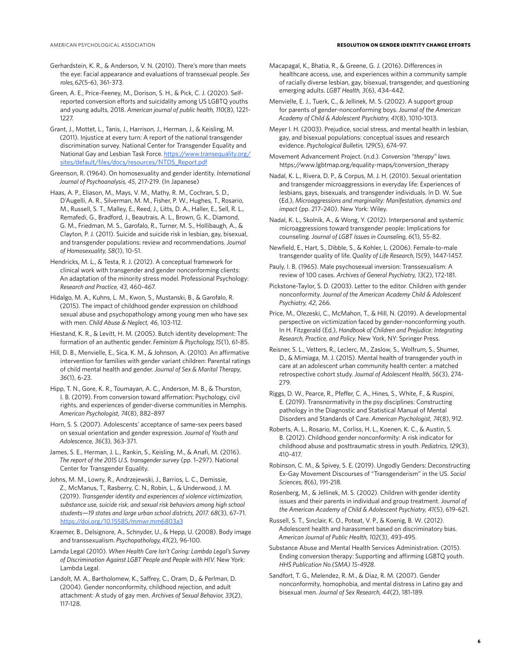#### AMERICAN PSYCHOLOGICAL ASSOCIATION **RESOLUTION ON GENDER IDENTITY CHANGE EFFORTS**

- Gerhardstein, K. R., & Anderson, V. N. (2010). There's more than meets the eye: Facial appearance and evaluations of transsexual people. *Sex roles, 62*(5-6), 361-373.
- Green, A. E., Price-Feeney, M., Dorison, S. H., & Pick, C. J. (2020). Selfreported conversion efforts and suicidality among US LGBTQ youths and young adults, 2018. *American journal of public health, 110*(8), 1221- 1227.
- Grant, J., Mottet, L., Tanis, J., Harrison, J., Herman, J., & Keisling, M. (2011). Injustice at every turn: A report of the national transgender discrimination survey. National Center for Transgender Equality and National Gay and Lesbian Task Force. https://www.transequality.org/ sites/default/files/docs/resources/NTDS\_Report.pdf
- Greenson, R. (1964). On homosexuality and gender identity. *International Journal of Psychoanalysis, 45*, 217-219. (In Japanese)
- Haas, A. P., Eliason, M., Mays, V. M., Mathy, R. M., Cochran, S. D., D'Augelli, A. R., Silverman, M. M., Fisher, P. W., Hughes, T., Rosario, M., Russell, S. T., Malley, E., Reed, J., Litts, D. A., Haller, E., Sell, R. L., Remafedi, G., Bradford, J., Beautrais, A. L., Brown, G. K., Diamond, G. M., Friedman, M. S., Garofalo, R., Turner, M. S., Hollibaugh, A., & Clayton, P. J. (2011). Suicide and suicide risk in lesbian, gay, bisexual, and transgender populations: review and recommendations. *Journal of Homosexuality, 58*(1), 10-51.
- Hendricks, M. L., & Testa, R. J. (2012). A conceptual framework for clinical work with transgender and gender nonconforming clients: An adaptation of the minority stress model. Professional Psychology: *Research and Practice, 43*, 460-467.
- Hidalgo, M. A., Kuhns, L. M., Kwon, S., Mustanski, B., & Garofalo, R. (2015). The impact of childhood gender expression on childhood sexual abuse and psychopathology among young men who have sex with men. *Child Abuse & Neglect, 46*, 103-112.
- Hiestand, K. R., & Levitt, H. M. (2005). Butch identity development: The formation of an authentic gender. *Feminism & Psychology, 15*(1), 61-85.
- Hill, D. B., Menvielle, E., Sica, K. M., & Johnson, A. (2010). An affirmative intervention for families with gender variant children: Parental ratings of child mental health and gender. *Journal of Sex & Marital Therapy, 36*(1), 6-23.
- Hipp, T. N., Gore, K. R., Toumayan, A. C., Anderson, M. B., & Thurston, I. B. (2019). From conversion toward affirmation: Psychology, civil rights, and experiences of gender-diverse communities in Memphis. *American Psychologist, 74*(8), 882–897
- Horn, S. S. (2007). Adolescents' acceptance of same-sex peers based on sexual orientation and gender expression. *Journal of Youth and Adolescence, 36*(3), 363-371.
- James, S. E., Herman, J. L., Rankin, S., Keisling, M., & Anafi, M. (2016). *The report of the 2015 U.S. transgender survey* (pp. 1–297). National Center for Transgender Equality.
- Johns, M. M., Lowry, R., Andrzejewski, J., Barrios, L. C., Demissie, Z., McManus, T., Rasberry, C. N., Robin, L., & Underwood, J. M. (2019). *Transgender identity and experiences of violence victimization, substance use, suicide risk, and sexual risk behaviors among high school students—19 states and large urban school districts, 2017. 68*(3), 67–71. https://doi.org/10.15585/mmwr.mm6803a3
- Kraemer, B., Delsignore, A., Schnyder, U., & Hepp, U. (2008). Body image and transsexualism. *Psychopathology, 41*(2), 96-100.
- Lamda Legal (2010). *When Health Care Isn't Caring: Lambda Legal's Survey of Discrimination Against LGBT People and People with HIV.* New York: Lambda Legal.
- Landolt, M. A., Bartholomew, K., Saffrey, C., Oram, D., & Perlman, D. (2004). Gender nonconformity, childhood rejection, and adult attachment: A study of gay men. *Archives of Sexual Behavior, 33*(2), 117-128.
- Macapagal, K., Bhatia, R., & Greene, G. J. (2016). Differences in healthcare access, use, and experiences within a community sample of racially diverse lesbian, gay, bisexual, transgender, and questioning emerging adults. *LGBT Health, 3*(6), 434-442.
- Menvielle, E. J., Tuerk, C., & Jellinek, M. S. (2002). A support group for parents of gender-nonconforming boys. *Journal of the American Academy of Child & Adolescent Psychiatry, 41*(8), 1010-1013.
- Meyer I. H. (2003). Prejudice, social stress, and mental health in lesbian, gay, and bisexual populations: conceptual issues and research evidence. *Psychological Bulletin, 129*(5), 674-97.
- Movement Advancement Project. (n.d.). *Conversion "therapy" laws.*  https://www.lgbtmap.org/equality-maps/conversion\_therapy
- Nadal, K. L., Rivera, D. P., & Corpus, M. J. H. (2010). Sexual orientation and transgender microaggressions in everyday life: Experiences of lesbians, gays, bisexuals, and transgender individuals. In D. W. Sue (Ed.), *Microaggressions and marginality: Manifestation, dynamics and impact* (pp. 217–240). New York: Wiley.
- Nadal, K. L., Skolnik, A., & Wong, Y. (2012). Interpersonal and systemic microaggressions toward transgender people: Implications for counseling. *Journal of LGBT Issues in Counseling, 6*(1), 55-82.
- Newfield, E., Hart, S., Dibble, S., & Kohler, L. (2006). Female-to-male transgender quality of life. *Quality of Life Research, 15*(9), 1447-1457.
- Pauly, I. B. (1965). Male psychosexual inversion: Transsexualism: A review of 100 cases. *Archives of General Psychiatry, 13*(2), 172-181.
- Pickstone-Taylor, S. D. (2003). Letter to the editor. Children with gender nonconformity. *Journal of the American Academy Child & Adolescent Psychiatry, 42*, 266.
- Price, M., Olezeski, C., McMahon, T., & Hill, N. (2019). A developmental perspective on victimization faced by gender-nonconforming youth. In H. Fitzgerald (Ed.), *Handbook of Children and Prejudice: Integrating Research, Practice, and Policy.* New York, NY: Springer Press.
- Reisner, S. L., Vetters, R., Leclerc, M., Zaslow, S., Wolfrum, S., Shumer, D., & Mimiaga, M. J. (2015). Mental health of transgender youth in care at an adolescent urban community health center: a matched retrospective cohort study. *Journal of Adolescent Health, 56*(3), 274- 279.
- Riggs, D. W., Pearce, R., Pfeffer, C. A., Hines, S., White, F., & Ruspini, E. (2019). Transnormativity in the psy disciplines: Constructing pathology in the Diagnostic and Statistical Manual of Mental Disorders and Standards of Care. *American Psychologist, 74*(8), 912.
- Roberts, A. L., Rosario, M., Corliss, H. L., Koenen, K. C., & Austin, S. B. (2012). Childhood gender nonconformity: A risk indicator for childhood abuse and posttraumatic stress in youth. *Pediatrics, 129*(3), 410-417.
- Robinson, C. M., & Spivey, S. E. (2019). Ungodly Genders: Deconstructing Ex-Gay Movement Discourses of "Transgenderism" in the US. *Social Sciences, 8*(6), 191-218.
- Rosenberg, M., & Jellinek, M. S. (2002). Children with gender identity issues and their parents in individual and group treatment. *Journal of the American Academy of Child & Adolescent Psychiatry, 41*(5), 619-621.
- Russell, S. T., Sinclair, K. O., Poteat, V. P., & Koenig, B. W. (2012). Adolescent health and harassment based on discriminatory bias. *American Journal of Public Health, 102*(3), 493-495.
- Substance Abuse and Mental Health Services Administration. (2015). Ending conversion therapy: Supporting and affirming LGBTQ youth. *HHS Publication No.(SMA) 15-4928*.
- Sandfort, T. G., Melendez, R. M., & Diaz, R. M. (2007). Gender nonconformity, homophobia, and mental distress in Latino gay and bisexual men. *Journal of Sex Research, 44*(2), 181-189.